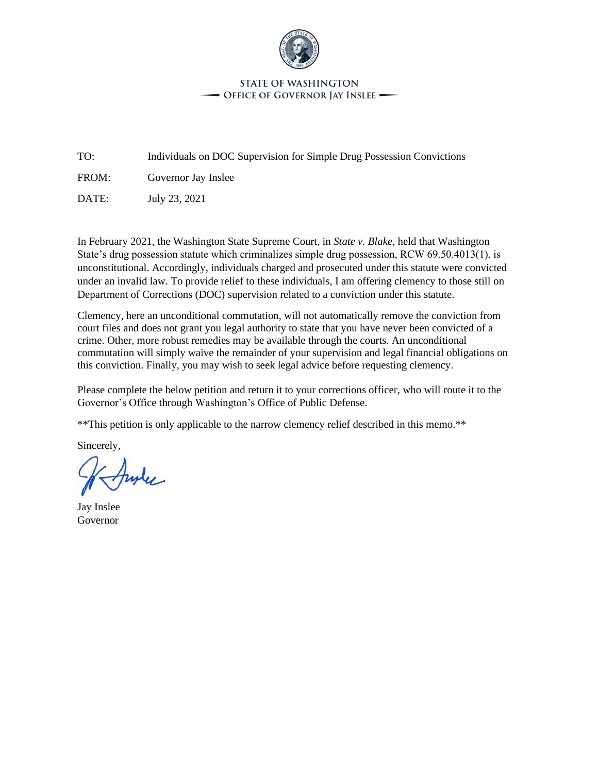

#### **STATE OF WASHINGTON** - Office of Governor Jay Inslee -

TO: Individuals on DOC Supervision for Simple Drug Possession Convictions

FROM: Governor Jay Inslee

DATE: July 23, 2021

In February 2021, the Washington State Supreme Court, in *State v. Blake*, held that Washington State's drug possession statute which criminalizes simple drug possession, RCW 69.50.4013(1), is unconstitutional. Accordingly, individuals charged and prosecuted under this statute were convicted under an invalid law. To provide relief to these individuals, I am offering clemency to those still on Department of Corrections (DOC) supervision related to a conviction under this statute.

Clemency, here an unconditional commutation, will not automatically remove the conviction from court files and does not grant you legal authority to state that you have never been convicted of a crime. Other, more robust remedies may be available through the courts. An unconditional commutation will simply waive the remainder of your supervision and legal financial obligations on this conviction. Finally, you may wish to seek legal advice before requesting clemency.

Please complete the below petition and return it to your corrections officer, who will route it to the Governor's Office through Washington's Office of Public Defense.

\*\*This petition is only applicable to the narrow clemency relief described in this memo.\*\*

Sincerely,

hyle

Jay Inslee Governor